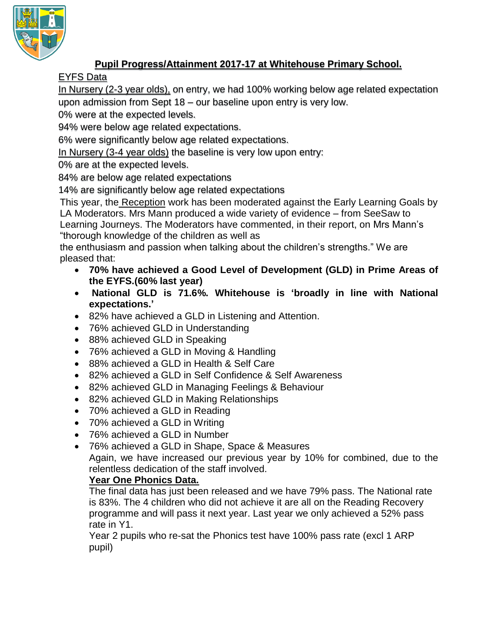

## **Pupil Progress/Attainment 2017-17 at Whitehouse Primary School.**

## EYFS Data

In Nursery (2-3 year olds), on entry, we had 100% working below age related expectation upon admission from Sept 18 – our baseline upon entry is very low.

0% were at the expected levels.

94% were below age related expectations.

6% were significantly below age related expectations.

In Nursery (3-4 year olds) the baseline is very low upon entry:

0% are at the expected levels.

84% are below age related expectations

14% are significantly below age related expectations

This year, the Reception work has been moderated against the Early Learning Goals by LA Moderators. Mrs Mann produced a wide variety of evidence – from SeeSaw to Learning Journeys. The Moderators have commented, in their report, on Mrs Mann's "thorough knowledge of the children as well as

the enthusiasm and passion when talking about the children's strengths." We are pleased that:

- **70% have achieved a Good Level of Development (GLD) in Prime Areas of the EYFS.(60% last year)**
- **National GLD is 71.6%. Whitehouse is 'broadly in line with National expectations.'**
- 82% have achieved a GLD in Listening and Attention.
- 76% achieved GLD in Understanding
- 88% achieved GLD in Speaking
- 76% achieved a GLD in Moving & Handling
- 88% achieved a GLD in Health & Self Care
- 82% achieved a GLD in Self Confidence & Self Awareness
- 82% achieved GLD in Managing Feelings & Behaviour
- 82% achieved GLD in Making Relationships
- 70% achieved a GLD in Reading
- 70% achieved a GLD in Writing
- 76% achieved a GLD in Number
- 76% achieved a GLD in Shape, Space & Measures

Again, we have increased our previous year by 10% for combined, due to the relentless dedication of the staff involved.

## **Year One Phonics Data.**

The final data has just been released and we have 79% pass. The National rate is 83%. The 4 children who did not achieve it are all on the Reading Recovery programme and will pass it next year. Last year we only achieved a 52% pass rate in Y1.

Year 2 pupils who re-sat the Phonics test have 100% pass rate (excl 1 ARP pupil)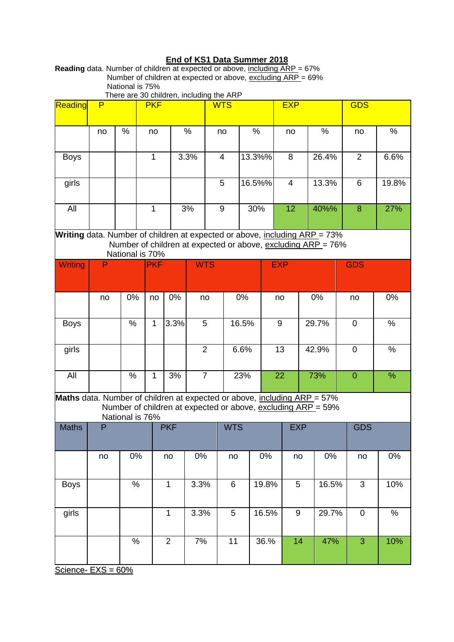## **End of KS1 Data Summer 2018**

**Reading** data. Number of children at expected or above, including ARP = 67% Number of children at expected or above, excluding ARP = 69% National is 75% There are 30 children, including the ARP

| Reading                                                                                                                                                       | P  |        |              | more are be crimaron, increasing are rather<br><b>PKF</b> |            |                | <b>WTS</b> |                |        |        | <b>EXP</b> |                  |  |       | <b>GDS</b>     |                |       |
|---------------------------------------------------------------------------------------------------------------------------------------------------------------|----|--------|--------------|-----------------------------------------------------------|------------|----------------|------------|----------------|--------|--------|------------|------------------|--|-------|----------------|----------------|-------|
|                                                                                                                                                               | no | $\%$   | no           |                                                           |            | %              |            | no             |        | $\%$   |            | no               |  | $\%$  |                | no             | %     |
| <b>Boys</b>                                                                                                                                                   |    |        | $\mathbf{1}$ |                                                           | 3.3%       |                |            | $\overline{4}$ |        | 13.3%% |            | 8                |  | 26.4% |                | 2              | 6.6%  |
| girls                                                                                                                                                         |    |        |              |                                                           |            |                | 5          |                | 16.5%% |        |            | $\overline{4}$   |  | 13.3% |                | $6\phantom{1}$ | 19.8% |
| All                                                                                                                                                           |    | 1      |              |                                                           | 3%         |                |            | 9              |        | 30%    |            | 12               |  | 40%%  |                | 8              | 27%   |
| Writing data. Number of children at expected or above, including ARP = 73%<br>Number of children at expected or above, excluding ARP = 76%<br>National is 70% |    |        |              |                                                           |            |                |            |                |        |        |            |                  |  |       |                |                |       |
| Writing                                                                                                                                                       | P  |        | <b>PKF</b>   |                                                           | <b>WTS</b> |                |            |                |        |        | <b>EXP</b> |                  |  |       |                | <b>GDS</b>     |       |
|                                                                                                                                                               | no | 0%     | no           |                                                           | 0%         | no             |            |                | 0%     | no     |            |                  |  | 0%    |                | no             | 0%    |
| <b>Boys</b>                                                                                                                                                   |    | %      | 1            |                                                           | 3.3%       |                | 5          |                | 16.5%  | 9      |            |                  |  | 29.7% |                | $\mathbf 0$    | %     |
| girls                                                                                                                                                         |    |        |              |                                                           |            | $\overline{2}$ |            | 6.6%           |        | 13     |            |                  |  | 42.9% | $\mathbf 0$    |                | $\%$  |
| All                                                                                                                                                           |    | 1<br>% |              |                                                           | 3%         | $\overline{7}$ |            |                | 23%    |        |            | 22<br>73%        |  |       | $\overline{0}$ |                | $\%$  |
| Maths data. Number of children at expected or above, including ARP = 57%<br>Number of children at expected or above, excluding ARP = 59%<br>National is 76%   |    |        |              |                                                           |            |                |            |                |        |        |            |                  |  |       |                |                |       |
| <b>Maths</b>                                                                                                                                                  | P  |        | <b>PKF</b>   |                                                           |            |                |            | <b>WTS</b>     |        |        | <b>EXP</b> |                  |  |       |                | <b>GDS</b>     |       |
|                                                                                                                                                               | no | 0%     |              | no                                                        |            | $0\%$          |            | no             |        | $0\%$  |            | no               |  | $0\%$ |                | no             | 0%    |
| <b>Boys</b>                                                                                                                                                   |    | $\%$   |              | $\mathbf{1}$                                              |            | 3.3%           |            | $6\phantom{1}$ |        | 19.8%  |            | 5                |  | 16.5% |                | $\overline{3}$ | 10%   |
| girls                                                                                                                                                         |    |        |              | $\mathbf{1}$                                              |            | 3.3%           |            | 5              |        | 16.5%  |            | $\boldsymbol{9}$ |  | 29.7% |                | $\mathbf 0$    | $\%$  |
|                                                                                                                                                               |    | $\%$   |              | $\overline{2}$                                            |            | 7%             |            | 11             |        | 36.%   |            | 14               |  | 47%   |                | 3              | 10%   |

Science- EXS = 60%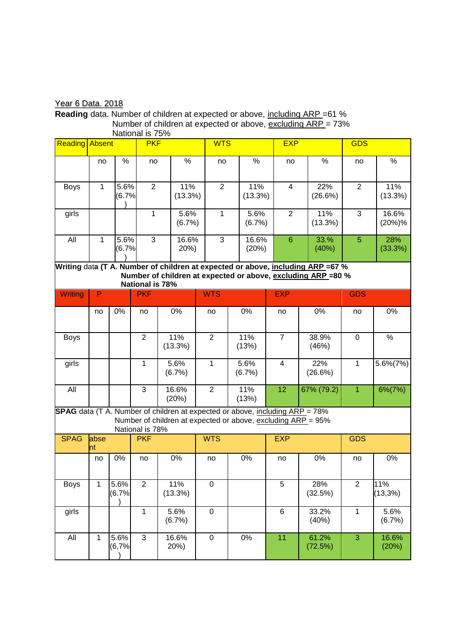Year 6 Data. 2018

**Reading** data. Number of children at expected or above, including ARP =61 % Number of children at expected or above, excluding ARP = 73% National is 75%

| <b>Reading Absent</b>                                                                                                                                                     |                    |               | <b>PKF</b>     |                | <b>WTS</b>       |    |                | <b>EXP</b>                        |                  | <b>GDS</b>     |                 |  |
|---------------------------------------------------------------------------------------------------------------------------------------------------------------------------|--------------------|---------------|----------------|----------------|------------------|----|----------------|-----------------------------------|------------------|----------------|-----------------|--|
|                                                                                                                                                                           | no                 | $\%$          | no             | $\%$           | no               |    |                | no                                | $\%$             | no             | %               |  |
| <b>Boys</b>                                                                                                                                                               | $\mathbf{1}$       | 5.6%<br>(6.7% | $\overline{2}$ | 11%<br>(13.3%) | $\overline{2}$   |    | 11%<br>(13.3%) | $\overline{4}$                    | 22%<br>(26.6%)   | 2              | 11%<br>(13.3%)  |  |
| girls                                                                                                                                                                     |                    |               | $\mathbf{1}$   | 5.6%<br>(6.7%) | 1                |    | 5.6%<br>(6.7%) | $\overline{2}$                    | 11%<br>(13.3%)   | 3              | 16.6%<br>(20%)% |  |
| All                                                                                                                                                                       | 5.6%<br>1<br>(6.7% |               | 3              | 16.6%<br>20%)  | $\mathfrak{B}$   |    |                | 16.6%<br>$6\phantom{1}6$<br>(20%) | 33.%<br>(40%)    | 5              | 28%<br>(33.3%)  |  |
| Writing data (T A. Number of children at expected or above, including ARP =67 %<br>Number of children at expected or above, excluding ARP =80 %<br><b>National is 78%</b> |                    |               |                |                |                  |    |                |                                   |                  |                |                 |  |
| Writing                                                                                                                                                                   | P                  |               | <b>PKF</b>     |                | <b>WTS</b>       |    |                | <b>EXP</b>                        |                  | <b>GDS</b>     |                 |  |
|                                                                                                                                                                           | no                 | 0%            | no             | 0%             | no               | 0% |                | no                                | 0%               | no             | 0%              |  |
| <b>Boys</b>                                                                                                                                                               |                    |               | $\overline{2}$ | 11%<br>(13.3%) | $\overline{2}$   |    | 11%<br>(13%)   | $\overline{7}$                    | 38.9%<br>(46%)   | $\mathbf 0$    | $\%$            |  |
| girls                                                                                                                                                                     |                    |               | $\mathbf{1}$   | 5.6%<br>(6.7%) | $\mathbf{1}$     |    | 5.6%<br>(6.7%) | 4                                 | 22%<br>(26.6%)   | $\mathbf{1}$   | $5.6\%(7\%)$    |  |
| All                                                                                                                                                                       |                    |               | $\overline{3}$ | 16.6%<br>(20%) | $\overline{2}$   |    | 11%<br>(13%)   | 12                                | 67% (79.2)       | $\overline{1}$ | $6\%(7\%)$      |  |
| <b>SPAG</b> data (T A. Number of children at expected or above, including ARP = 78%<br>Number of children at expected or above, excluding ARP = 95%<br>National is 78%    |                    |               |                |                |                  |    |                |                                   |                  |                |                 |  |
| <b>SPAG</b>                                                                                                                                                               | abse<br>nt         |               | <b>PKF</b>     |                | <b>WTS</b>       |    |                | <b>EXP</b>                        |                  | <b>GDS</b>     |                 |  |
|                                                                                                                                                                           | no                 | 0%            | no             | 0%             | no               |    | 0%             | no                                | 0%               | no             | 0%              |  |
| <b>Boys</b>                                                                                                                                                               | 1                  | 5.6%<br>(6.7% | $\overline{2}$ | 11%<br>(13.3%) | $\boldsymbol{0}$ |    |                | 5                                 | 28%<br>(32.5%)   | $\overline{2}$ | 11%<br>(13,3%)  |  |
| girls                                                                                                                                                                     |                    |               | $\mathbf{1}$   | 5.6%<br>(6.7%) | $\pmb{0}$        |    |                | 6                                 | 33.2%<br>(40%)   | $\overline{1}$ | 5.6%<br>(6.7%)  |  |
| All                                                                                                                                                                       | $\mathbf{1}$       | 5.6%<br>(6,7% | $\mathfrak{S}$ | 16.6%<br>20%)  | $\pmb{0}$        |    | $0\%$          | 11                                | 61.2%<br>(72.5%) | 3              | 16.6%<br>(20%)  |  |